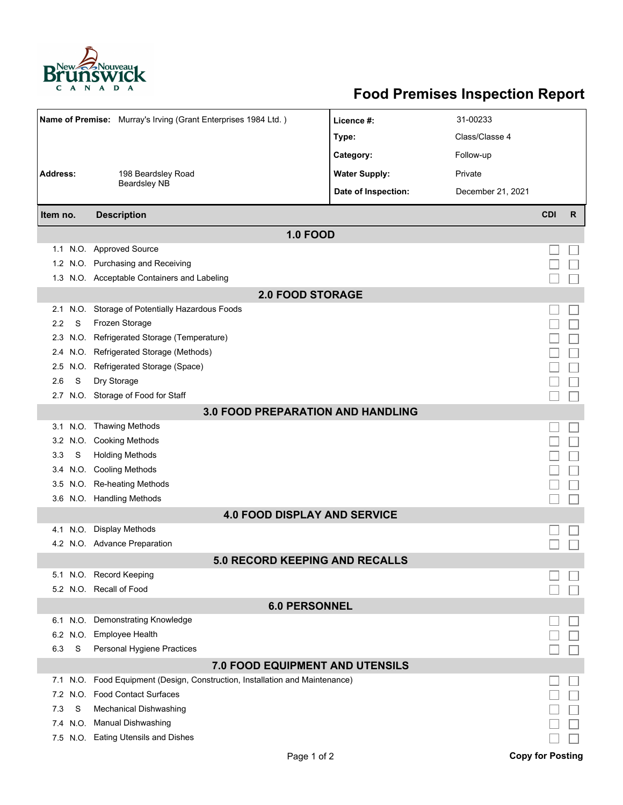

## **Food Premises Inspection Report**

|                                     |          | Name of Premise: Murray's Irving (Grant Enterprises 1984 Ltd.)      | Licence #:           | 31-00233          |            |   |  |  |  |
|-------------------------------------|----------|---------------------------------------------------------------------|----------------------|-------------------|------------|---|--|--|--|
|                                     |          |                                                                     | Type:                | Class/Classe 4    |            |   |  |  |  |
|                                     |          |                                                                     | Category:            | Follow-up         |            |   |  |  |  |
| <b>Address:</b>                     |          | 198 Beardsley Road                                                  | <b>Water Supply:</b> | Private           |            |   |  |  |  |
|                                     |          | <b>Beardsley NB</b>                                                 | Date of Inspection:  | December 21, 2021 |            |   |  |  |  |
|                                     |          |                                                                     |                      |                   |            |   |  |  |  |
| Item no.                            |          | <b>Description</b>                                                  |                      |                   | <b>CDI</b> | R |  |  |  |
|                                     |          | <b>1.0 FOOD</b>                                                     |                      |                   |            |   |  |  |  |
|                                     |          | 1.1 N.O. Approved Source                                            |                      |                   |            |   |  |  |  |
|                                     |          | 1.2 N.O. Purchasing and Receiving                                   |                      |                   |            |   |  |  |  |
|                                     |          | 1.3 N.O. Acceptable Containers and Labeling                         |                      |                   |            |   |  |  |  |
| <b>2.0 FOOD STORAGE</b>             |          |                                                                     |                      |                   |            |   |  |  |  |
| 2.1                                 |          | N.O. Storage of Potentially Hazardous Foods                         |                      |                   |            |   |  |  |  |
| 2.2                                 | S        | Frozen Storage                                                      |                      |                   |            |   |  |  |  |
| 2.3                                 | N.O.     | Refrigerated Storage (Temperature)                                  |                      |                   |            |   |  |  |  |
| 2.4                                 |          | N.O. Refrigerated Storage (Methods)                                 |                      |                   |            |   |  |  |  |
| $2.5^{\circ}$                       | N.O.     | Refrigerated Storage (Space)                                        |                      |                   |            |   |  |  |  |
| 2.6                                 | S        | Dry Storage                                                         |                      |                   |            |   |  |  |  |
|                                     |          | 2.7 N.O. Storage of Food for Staff                                  |                      |                   |            |   |  |  |  |
| 3.0 FOOD PREPARATION AND HANDLING   |          |                                                                     |                      |                   |            |   |  |  |  |
| 3.1                                 |          | N.O. Thawing Methods                                                |                      |                   |            |   |  |  |  |
|                                     |          | 3.2 N.O. Cooking Methods                                            |                      |                   |            |   |  |  |  |
| 3.3                                 | S        | <b>Holding Methods</b>                                              |                      |                   |            |   |  |  |  |
|                                     |          | 3.4 N.O. Cooling Methods                                            |                      |                   |            |   |  |  |  |
| 3.5                                 |          | N.O. Re-heating Methods                                             |                      |                   |            |   |  |  |  |
|                                     |          | 3.6 N.O. Handling Methods                                           |                      |                   |            |   |  |  |  |
| <b>4.0 FOOD DISPLAY AND SERVICE</b> |          |                                                                     |                      |                   |            |   |  |  |  |
| 4.1                                 |          | N.O. Display Methods                                                |                      |                   |            |   |  |  |  |
|                                     |          | 4.2 N.O. Advance Preparation                                        |                      |                   |            |   |  |  |  |
| 5.0 RECORD KEEPING AND RECALLS      |          |                                                                     |                      |                   |            |   |  |  |  |
|                                     |          | 5.1 N.O. Record Keeping                                             |                      |                   |            |   |  |  |  |
|                                     |          | 5.2 N.O. Recall of Food                                             |                      |                   |            |   |  |  |  |
| <b>6.0 PERSONNEL</b>                |          |                                                                     |                      |                   |            |   |  |  |  |
| 6.1                                 |          | N.O. Demonstrating Knowledge                                        |                      |                   |            |   |  |  |  |
|                                     | 6.2 N.O. | <b>Employee Health</b>                                              |                      |                   |            |   |  |  |  |
| 6.3                                 | S        | Personal Hygiene Practices                                          |                      |                   |            |   |  |  |  |
| 7.0 FOOD EQUIPMENT AND UTENSILS     |          |                                                                     |                      |                   |            |   |  |  |  |
| 7.1                                 | N.O.     | Food Equipment (Design, Construction, Installation and Maintenance) |                      |                   |            |   |  |  |  |
| 7.2                                 | N.O.     | <b>Food Contact Surfaces</b>                                        |                      |                   |            |   |  |  |  |
| 7.3                                 | S        | <b>Mechanical Dishwashing</b>                                       |                      |                   |            |   |  |  |  |
| 7.4                                 |          | N.O. Manual Dishwashing                                             |                      |                   |            |   |  |  |  |
|                                     |          | 7.5 N.O. Eating Utensils and Dishes                                 |                      |                   |            |   |  |  |  |